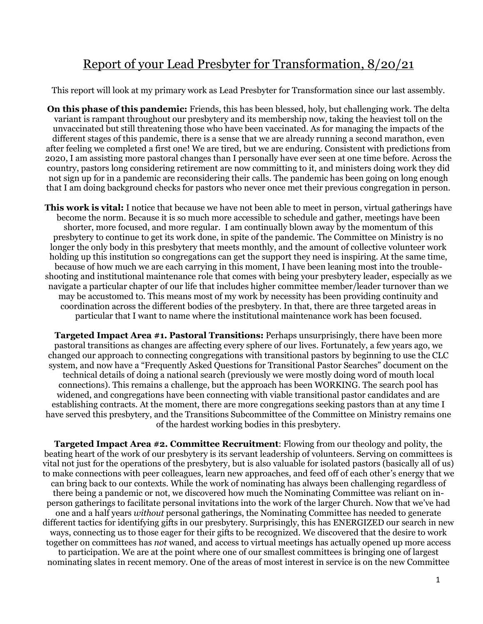## Report of your Lead Presbyter for Transformation, 8/20/21

This report will look at my primary work as Lead Presbyter for Transformation since our last assembly.

**On this phase of this pandemic:** Friends, this has been blessed, holy, but challenging work. The delta variant is rampant throughout our presbytery and its membership now, taking the heaviest toll on the unvaccinated but still threatening those who have been vaccinated. As for managing the impacts of the different stages of this pandemic, there is a sense that we are already running a second marathon, even after feeling we completed a first one! We are tired, but we are enduring. Consistent with predictions from 2020, I am assisting more pastoral changes than I personally have ever seen at one time before. Across the country, pastors long considering retirement are now committing to it, and ministers doing work they did not sign up for in a pandemic are reconsidering their calls. The pandemic has been going on long enough that I am doing background checks for pastors who never once met their previous congregation in person.

**This work is vital:** I notice that because we have not been able to meet in person, virtual gatherings have become the norm. Because it is so much more accessible to schedule and gather, meetings have been shorter, more focused, and more regular. I am continually blown away by the momentum of this presbytery to continue to get its work done, in spite of the pandemic. The Committee on Ministry is no longer the only body in this presbytery that meets monthly, and the amount of collective volunteer work holding up this institution so congregations can get the support they need is inspiring. At the same time, because of how much we are each carrying in this moment, I have been leaning most into the troubleshooting and institutional maintenance role that comes with being your presbytery leader, especially as we navigate a particular chapter of our life that includes higher committee member/leader turnover than we may be accustomed to. This means most of my work by necessity has been providing continuity and coordination across the different bodies of the presbytery. In that, there are three targeted areas in particular that I want to name where the institutional maintenance work has been focused.

**Targeted Impact Area #1. Pastoral Transitions:** Perhaps unsurprisingly, there have been more pastoral transitions as changes are affecting every sphere of our lives. Fortunately, a few years ago, we changed our approach to connecting congregations with transitional pastors by beginning to use the CLC system, and now have a "Frequently Asked Questions for Transitional Pastor Searches" document on the technical details of doing a national search (previously we were mostly doing word of mouth local connections). This remains a challenge, but the approach has been WORKING. The search pool has widened, and congregations have been connecting with viable transitional pastor candidates and are establishing contracts. At the moment, there are more congregations seeking pastors than at any time I have served this presbytery, and the Transitions Subcommittee of the Committee on Ministry remains one of the hardest working bodies in this presbytery.

**Targeted Impact Area #2. C0mmittee Recruitment**: Flowing from our theology and polity, the beating heart of the work of our presbytery is its servant leadership of volunteers. Serving on committees is vital not just for the operations of the presbytery, but is also valuable for isolated pastors (basically all of us) to make connections with peer colleagues, learn new approaches, and feed off of each other's energy that we can bring back to our contexts. While the work of nominating has always been challenging regardless of there being a pandemic or not, we discovered how much the Nominating Committee was reliant on inperson gatherings to facilitate personal invitations into the work of the larger Church. Now that we've had one and a half years *without* personal gatherings, the Nominating Committee has needed to generate different tactics for identifying gifts in our presbytery. Surprisingly, this has ENERGIZED our search in new ways, connecting us to those eager for their gifts to be recognized. We discovered that the desire to work together on committees has *not* waned, and access to virtual meetings has actually opened up more access to participation. We are at the point where one of our smallest committees is bringing one of largest nominating slates in recent memory. One of the areas of most interest in service is on the new Committee